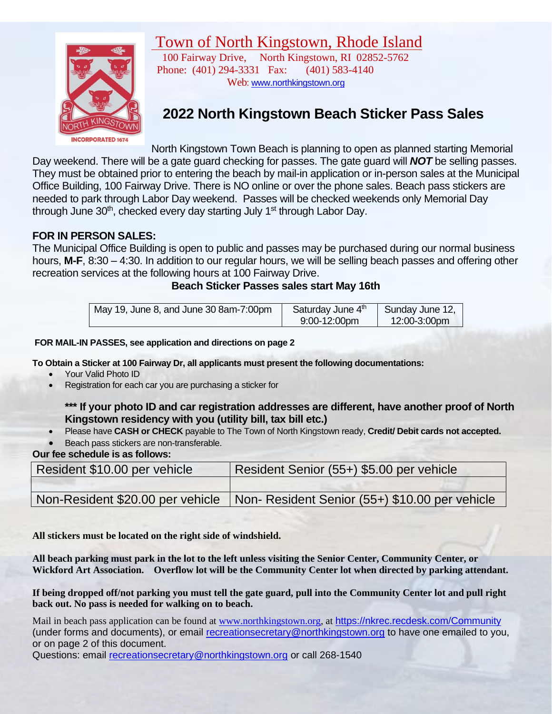# Town of North Kingstown, Rhode Island



100 Fairway Drive, North Kingstown, RI 02852-5762 Phone: (401) 294-3331 Fax: (401) 583-4140 Web: [www.northkingstown.org](http://www.northkingstown.org/)

# **2022 North Kingstown Beach Sticker Pass Sales**

North Kingstown Town Beach is planning to open as planned starting Memorial Day weekend. There will be a gate guard checking for passes. The gate guard will *NOT* be selling passes. They must be obtained prior to entering the beach by mail-in application or in-person sales at the Municipal Office Building, 100 Fairway Drive. There is NO online or over the phone sales. Beach pass stickers are needed to park through Labor Day weekend. Passes will be checked weekends only Memorial Day through June 30<sup>th</sup>, checked every day starting July 1<sup>st</sup> through Labor Day.

#### **FOR IN PERSON SALES:**

The Municipal Office Building is open to public and passes may be purchased during our normal business hours, **M-F**, 8:30 – 4:30. In addition to our regular hours, we will be selling beach passes and offering other recreation services at the following hours at 100 Fairway Drive.

#### **Beach Sticker Passes sales start May 16th**

| May 19, June 8, and June 30 8am-7:00pm | Saturday June 4th | Sunday June 12, |
|----------------------------------------|-------------------|-----------------|
|                                        | $9:00-12:00$ pm   | $12:00-3:00$ pm |

#### **FOR MAIL-IN PASSES, see application and directions on page 2**

**To Obtain a Sticker at 100 Fairway Dr, all applicants must present the following documentations:** 

- Your Valid Photo ID
- Registration for each car you are purchasing a sticker for

#### **\*\*\* If your photo ID and car registration addresses are different, have another proof of North Kingstown residency with you (utility bill, tax bill etc.)**

- Please have **CASH or CHECK** payable to The Town of North Kingstown ready, **Credit/ Debit cards not accepted.**
- Beach pass stickers are non-transferable.

**Our fee schedule is as follows:**

| Resident \$10.00 per vehicle     | Resident Senior (55+) \$5.00 per vehicle      |
|----------------------------------|-----------------------------------------------|
|                                  |                                               |
| Non-Resident \$20.00 per vehicle | Non-Resident Senior (55+) \$10.00 per vehicle |

**All stickers must be located on the right side of windshield.**

**All beach parking must park in the lot to the left unless visiting the Senior Center, Community Center, or Wickford Art Association. Overflow lot will be the Community Center lot when directed by parking attendant.**

**If being dropped off/not parking you must tell the gate guard, pull into the Community Center lot and pull right back out. No pass is needed for walking on to beach.**

Mail in beach pass application can be found at [www.northkingstown.org,](http://www.northkingstown.org/) at <https://nkrec.recdesk.com/Community> (under forms and documents), or email [recreationsecretary@northkingstown.org](mailto:recreationsecretary@northkingstown.org) to have one emailed to you, or on page 2 of this document.

Questions: email [recreationsecretary@northkingstown.org](mailto:recreationsecretary@northkingstown.org) or call 268-1540